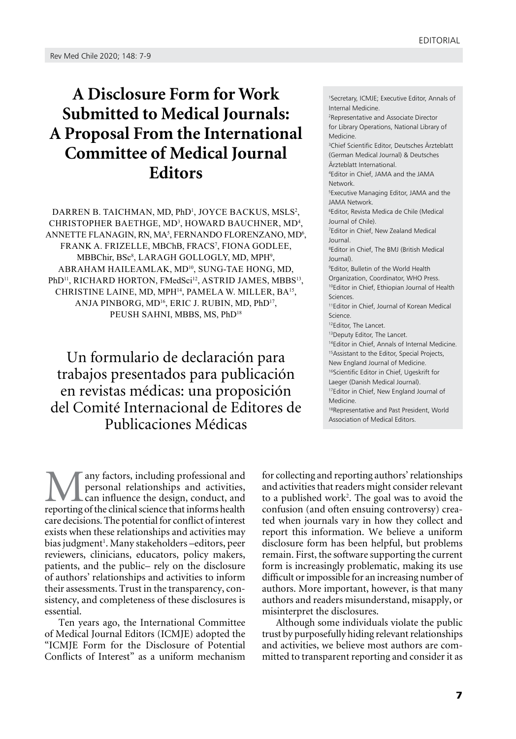## **A Disclosure Form for Work Submitted to Medical Journals: A Proposal From the International Committee of Medical Journal Editors**

[Darren B. Taichman, MD, PhD1](https://jamanetwork.com/searchresults?author=Darren+B.+Taichman&q=Darren+B.+Taichman) , [Joyce Backus, MSLS2](https://jamanetwork.com/searchresults?author=Joyce+Backus&q=Joyce+Backus) , CHRISTOPHER BAETHGE, MD<sup>3</sup>, HOWARD BAUCHNER, MD<sup>4</sup>,  $ANNETTE$  FLANAGIN, RN, MA<sup>5</sup>, FERNANDO FLORENZANO, MD<sup>6</sup>, [Frank A. Frizelle, MBChB, FRACS7](https://jamanetwork.com/searchresults?author=Frank+A.+Frizelle&q=Frank+A.+Frizelle) , [Fiona Godlee,](https://jamanetwork.com/searchresults?author=Fiona+Godlee&q=Fiona+Godlee)  MBBChir, BSc<sup>8</sup>, LARAGH GOLLOGLY, MD, MPH<sup>9</sup>, [Abraham Haileamlak, MD10,](https://jamanetwork.com/searchresults?author=Abraham+Haileamlak&q=Abraham+Haileamlak) [Sung-Tae Hong, MD,](https://jamanetwork.com/searchresults?author=Sung-Tae+Hong&q=Sung-Tae+Hong)  PhD<sup>11</sup>, RICHARD HORTON, FMedSci<sup>12</sup>, ASTRID JAMES, MBBS<sup>13</sup>, [Christine Laine, MD, MPH14](https://jamanetwork.com/searchresults?author=Christine+Laine&q=Christine+Laine), [Pamela W. Miller, BA15](https://jamanetwork.com/searchresults?author=Pamela+W.+Miller&q=Pamela+W.+Miller), [Anja Pinborg, MD16](https://jamanetwork.com/searchresults?author=Anja+Pinborg&q=Anja+Pinborg), [Eric J. Rubin, MD, PhD17](https://jamanetwork.com/searchresults?author=Eric+J.+Rubin&q=Eric+J.+Rubin) , PEUSH SAHNI, MBBS, MS, PhD<sup>18</sup>

Un formulario de declaración para trabajos presentados para publicación en revistas médicas: una proposición del Comité Internacional de Editores de Publicaciones Médicas

any factors, including professional and personal relationships and activities, can influence the design, conduct, and reporting of the clinical science that informs health care decisions. The potential for conflict of interest exists when these relationships and activities may bias judgment<sup>1</sup>. Many stakeholders-editors, peer reviewers, clinicians, educators, policy makers, patients, and the public– rely on the disclosure of authors' relationships and activities to inform their assessments. Trust in the transparency, consistency, and completeness of these disclosures is essential.

Ten years ago, the International Committee of Medical Journal Editors (ICMJE) adopted the "ICMJE Form for the Disclosure of Potential Conflicts of Interest" as a uniform mechanism

1 Secretary, ICMJE; Executive Editor, Annals of Internal Medicine. 2 Representative and Associate Director for Library Operations, National Library of Medicine. 3 Chief Scientific Editor, Deutsches Ärzteblatt (German Medical Journal) & Deutsches Ärzteblatt International. 4 Editor in Chief, JAMA and the JAMA Network. 5 Executive Managing Editor, JAMA and the JAMA Network. 6 Editor, Revista Medica de Chile (Medical Journal of Chile). 7 Editor in Chief, New Zealand Medical Journal. 8 Editor in Chief, The BMJ (British Medical Journal). 9 Editor, Bulletin of the World Health Organization, Coordinator, WHO Press. 10Editor in Chief, Ethiopian Journal of Health Sciences. 11Editor in Chief, Journal of Korean Medical Science. 12Editor, The Lancet. 13Deputy Editor, The Lancet. 14Editor in Chief, Annals of Internal Medicine. 15Assistant to the Editor, Special Projects, New England Journal of Medicine. <sup>16</sup>Scientific Editor in Chief, Ugeskrift for Laeger (Danish Medical Journal). 17Editor in Chief, New England Journal of Medicine. 18Representative and Past President, World Association of Medical Editors.

for collecting and reporting authors' relationships and activities that readers might consider relevant to a published work<sup>2</sup>. The goal was to avoid the confusion (and often ensuing controversy) created when journals vary in how they collect and report this information. We believe a uniform disclosure form has been helpful, but problems remain. First, the software supporting the current form is increasingly problematic, making its use difficult or impossible for an increasing number of authors. More important, however, is that many authors and readers misunderstand, misapply, or misinterpret the disclosures.

Although some individuals violate the public trust by purposefully hiding relevant relationships and activities, we believe most authors are committed to transparent reporting and consider it as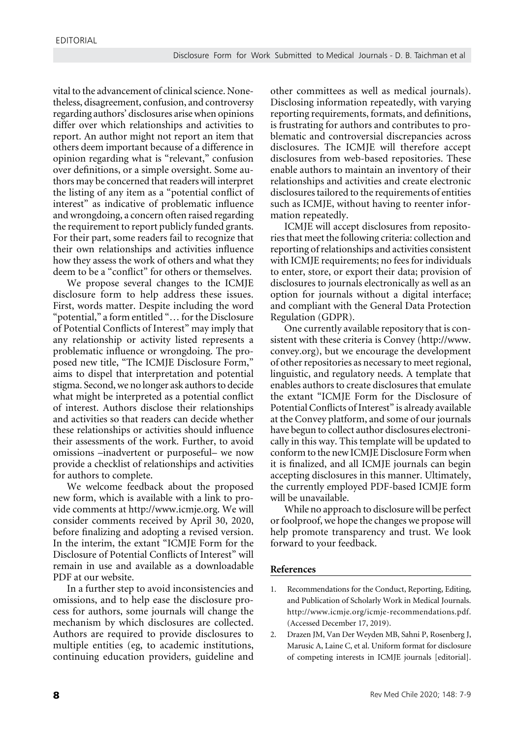vital to the advancement of clinical science. Nonetheless, disagreement, confusion, and controversy regarding authors' disclosures arise when opinions differ over which relationships and activities to report. An author might not report an item that others deem important because of a difference in opinion regarding what is "relevant," confusion over definitions, or a simple oversight. Some authors may be concerned that readers will interpret the listing of any item as a "potential conflict of interest" as indicative of problematic influence and wrongdoing, a concern often raised regarding the requirement to report publicly funded grants. For their part, some readers fail to recognize that their own relationships and activities influence how they assess the work of others and what they deem to be a "conflict" for others or themselves.

We propose several changes to the ICMJE disclosure form to help address these issues. First, words matter. Despite including the word "potential," a form entitled "… for the Disclosure of Potential Conflicts of Interest" may imply that any relationship or activity listed represents a problematic influence or wrongdoing. The proposed new title, "The ICMJE Disclosure Form," aims to dispel that interpretation and potential stigma. Second, we no longer ask authors to decide what might be interpreted as a potential conflict of interest. Authors disclose their relationships and activities so that readers can decide whether these relationships or activities should influence their assessments of the work. Further, to avoid omissions –inadvertent or purposeful– we now provide a checklist of relationships and activities for authors to complete.

We welcome feedback about the proposed new form, which is available with a link to provide comments at [http://www.icmje.org](http://www.icmje.org/). We will consider comments received by April 30, 2020, before finalizing and adopting a revised version. In the interim, the extant "ICMJE Form for the Disclosure of Potential Conflicts of Interest" will remain in use and available as a downloadable PDF at our website.

In a further step to avoid inconsistencies and omissions, and to help ease the disclosure process for authors, some journals will change the mechanism by which disclosures are collected. Authors are required to provide disclosures to multiple entities (eg, to academic institutions, continuing education providers, guideline and

other committees as well as medical journals). Disclosing information repeatedly, with varying reporting requirements, formats, and definitions, is frustrating for authors and contributes to problematic and controversial discrepancies across disclosures. The ICMJE will therefore accept disclosures from web-based repositories. These enable authors to maintain an inventory of their relationships and activities and create electronic disclosures tailored to the requirements of entities such as ICMJE, without having to reenter information repeatedly.

ICMJE will accept disclosures from repositories that meet the following criteria: collection and reporting of relationships and activities consistent with ICMJE requirements; no fees for individuals to enter, store, or export their data; provision of disclosures to journals electronically as well as an option for journals without a digital interface; and compliant with the General Data Protection Regulation (GDPR).

One currently available repository that is consistent with these criteria is Convey [\(http://www.](http://www.convey.org/) [convey.org\)](http://www.convey.org/), but we encourage the development of other repositories as necessary to meet regional, linguistic, and regulatory needs. A template that enables authors to create disclosures that emulate the extant "ICMJE Form for the Disclosure of Potential Conflicts of Interest" is already available at the Convey platform, and some of our journals have begun to collect author disclosures electronically in this way. This template will be updated to conform to the new ICMJE Disclosure Form when it is finalized, and all ICMJE journals can begin accepting disclosures in this manner. Ultimately, the currently employed PDF-based ICMJE form will be unavailable.

While no approach to disclosure will be perfect or foolproof, we hope the changes we propose will help promote transparency and trust. We look forward to your feedback.

## **References**

- 1. Recommendations for the Conduct, Reporting, Editing, and Publication of Scholarly Work in Medical Journals. http://www.icmje.org/icmje-recommendations.pdf. (Accessed December 17, 2019).
- 2. Drazen JM, Van Der Weyden MB, Sahni P, Rosenberg J, Marusic A, Laine C, et al. Uniform format for disclosure of competing interests in ICMJE journals [editorial].